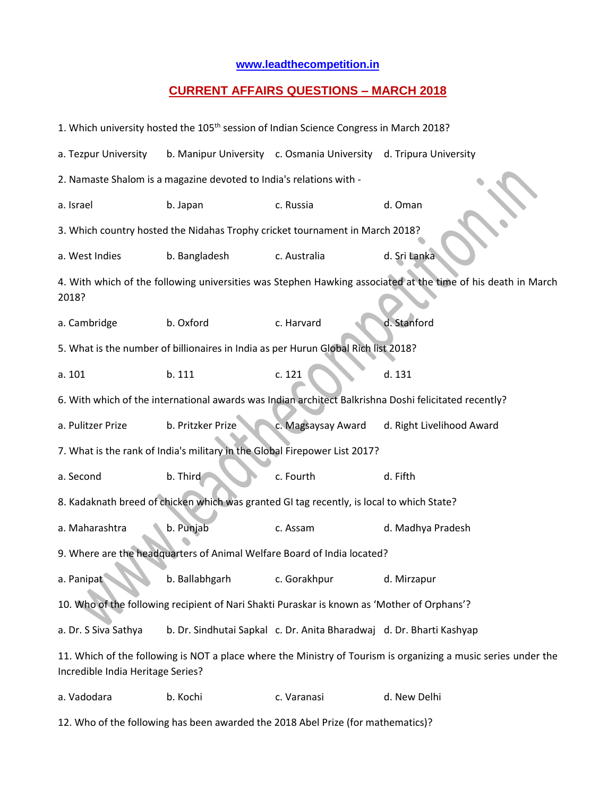## **[www.leadthecompetition.in](http://www.leadthecompetition.in/)**

## **CURRENT AFFAIRS QUESTIONS – MARCH 2018**

| 1. Which university hosted the 105 <sup>th</sup> session of Indian Science Congress in March 2018?                                                  |                                                                                    |                                                                      |                           |  |  |  |  |
|-----------------------------------------------------------------------------------------------------------------------------------------------------|------------------------------------------------------------------------------------|----------------------------------------------------------------------|---------------------------|--|--|--|--|
| a. Tezpur University                                                                                                                                |                                                                                    | b. Manipur University c. Osmania University d. Tripura University    |                           |  |  |  |  |
| 2. Namaste Shalom is a magazine devoted to India's relations with -                                                                                 |                                                                                    |                                                                      |                           |  |  |  |  |
| a. Israel                                                                                                                                           | b. Japan                                                                           | c. Russia                                                            | d. Oman                   |  |  |  |  |
| 3. Which country hosted the Nidahas Trophy cricket tournament in March 2018?                                                                        |                                                                                    |                                                                      |                           |  |  |  |  |
| a. West Indies                                                                                                                                      | b. Bangladesh                                                                      | c. Australia                                                         | d. Sri Lanka              |  |  |  |  |
| 4. With which of the following universities was Stephen Hawking associated at the time of his death in March<br>2018?                               |                                                                                    |                                                                      |                           |  |  |  |  |
| a. Cambridge                                                                                                                                        | b. Oxford                                                                          | c. Harvard                                                           | d. Stanford               |  |  |  |  |
|                                                                                                                                                     | 5. What is the number of billionaires in India as per Hurun Global Rich list 2018? |                                                                      |                           |  |  |  |  |
| a. 101                                                                                                                                              | b. 111                                                                             | c. 121                                                               | d. 131                    |  |  |  |  |
| 6. With which of the international awards was Indian architect Balkrishna Doshi felicitated recently?                                               |                                                                                    |                                                                      |                           |  |  |  |  |
| a. Pulitzer Prize                                                                                                                                   | b. Pritzker Prize                                                                  | c. Magsaysay Award                                                   | d. Right Livelihood Award |  |  |  |  |
| 7. What is the rank of India's military in the Global Firepower List 2017?                                                                          |                                                                                    |                                                                      |                           |  |  |  |  |
| b. Third<br>a. Second<br>c. Fourth<br>d. Fifth                                                                                                      |                                                                                    |                                                                      |                           |  |  |  |  |
| 8. Kadaknath breed of chicken which was granted GI tag recently, is local to which State?                                                           |                                                                                    |                                                                      |                           |  |  |  |  |
| a. Maharashtra                                                                                                                                      | b. Punjab<br>c. Assam<br>d. Madhya Pradesh                                         |                                                                      |                           |  |  |  |  |
| 9. Where are the headquarters of Animal Welfare Board of India located?                                                                             |                                                                                    |                                                                      |                           |  |  |  |  |
| a. Panipat                                                                                                                                          | b. Ballabhgarh                                                                     | c. Gorakhpur                                                         | d. Mirzapur               |  |  |  |  |
| 10. Who of the following recipient of Nari Shakti Puraskar is known as 'Mother of Orphans'?                                                         |                                                                                    |                                                                      |                           |  |  |  |  |
| a. Dr. S Siva Sathya                                                                                                                                |                                                                                    | b. Dr. Sindhutai Sapkal c. Dr. Anita Bharadwaj d. Dr. Bharti Kashyap |                           |  |  |  |  |
| 11. Which of the following is NOT a place where the Ministry of Tourism is organizing a music series under the<br>Incredible India Heritage Series? |                                                                                    |                                                                      |                           |  |  |  |  |
| a. Vadodara                                                                                                                                         | b. Kochi                                                                           | c. Varanasi                                                          | d. New Delhi              |  |  |  |  |

12. Who of the following has been awarded the 2018 Abel Prize (for mathematics)?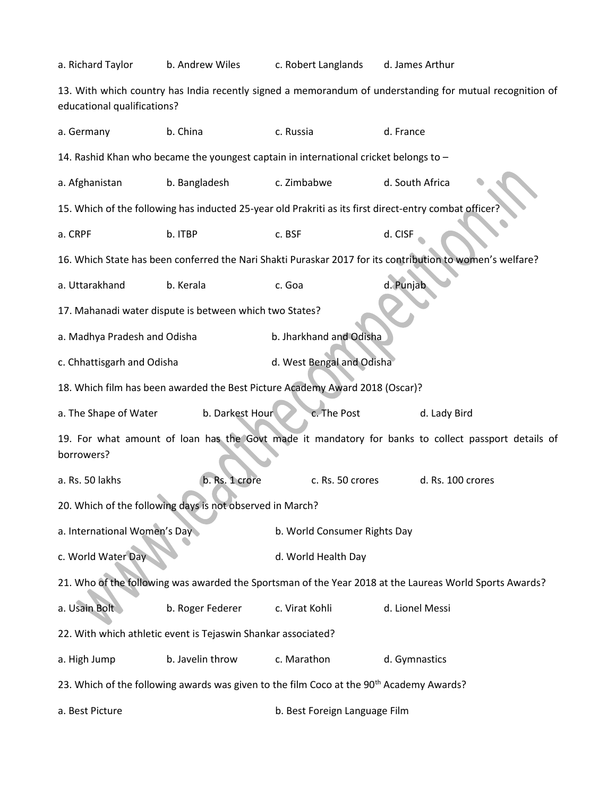a. Richard Taylor b. Andrew Wiles c. Robert Langlands d. James Arthur 13. With which country has India recently signed a memorandum of understanding for mutual recognition of educational qualifications? a. Germany b. China c. Russia d. France 14. Rashid Khan who became the youngest captain in international cricket belongs to – a. Afghanistan b. Bangladesh c. Zimbabwe d. South Africa 15. Which of the following has inducted 25-year old Prakriti as its first direct-entry combat office a. CRPF b. ITBP c. BSF d. CISF 16. Which State has been conferred the Nari Shakti Puraskar 2017 for its contribution to women's welfare? a. Uttarakhand b. Kerala c. Goa d. Punjab 17. Mahanadi water dispute is between which two States? a. Madhya Pradesh and Odisha b. Jharkhand and Odisha c. Chhattisgarh and Odisha d. West Bengal and Odisha 18. Which film has been awarded the Best Picture Academy Award 2018 (Oscar)? a. The Shape of Water b. Darkest Hour c. The Post d. Lady Bird 19. For what amount of loan has the Govt made it mandatory for banks to collect passport details of borrowers? a. Rs. 50 lakhs b. Rs. 1 crore c. Rs. 50 crores d. Rs. 100 crores 20. Which of the following days is not observed in March? a. International Women's Day b. World Consumer Rights Day c. World Water Day d. World Health Day 21. Who of the following was awarded the Sportsman of the Year 2018 at the Laureas World Sports Awards? a. Usain Bolt b. Roger Federer c. Virat Kohli d. Lionel Messi 22. With which athletic event is Tejaswin Shankar associated? a. High Jump b. Javelin throw c. Marathon d. Gymnastics 23. Which of the following awards was given to the film Coco at the 90<sup>th</sup> Academy Awards? a. Best Picture b. Best Foreign Language Film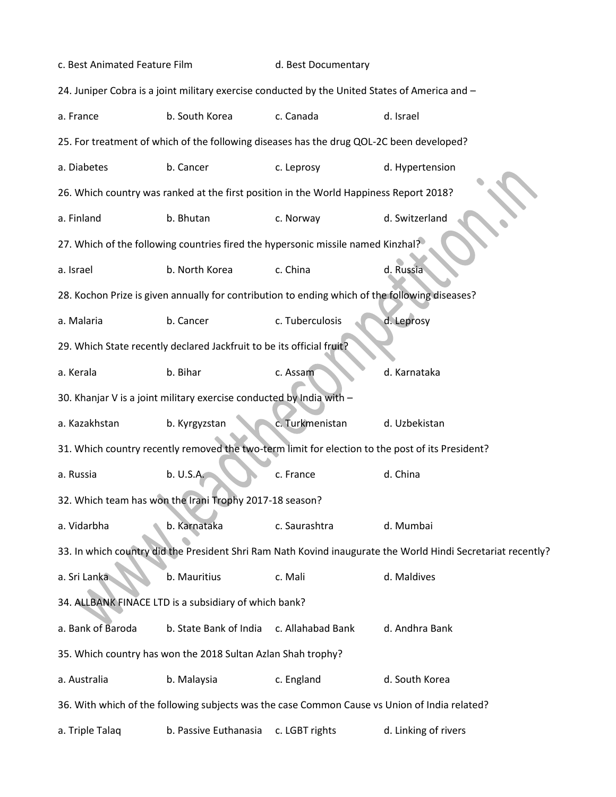| c. Best Animated Feature Film                                                                    |                                                                       | d. Best Documentary                                                                            |                                                                                                              |  |  |  |
|--------------------------------------------------------------------------------------------------|-----------------------------------------------------------------------|------------------------------------------------------------------------------------------------|--------------------------------------------------------------------------------------------------------------|--|--|--|
| 24. Juniper Cobra is a joint military exercise conducted by the United States of America and -   |                                                                       |                                                                                                |                                                                                                              |  |  |  |
| a. France                                                                                        | b. South Korea                                                        | c. Canada                                                                                      | d. Israel                                                                                                    |  |  |  |
| 25. For treatment of which of the following diseases has the drug QOL-2C been developed?         |                                                                       |                                                                                                |                                                                                                              |  |  |  |
| a. Diabetes                                                                                      | b. Cancer                                                             | c. Leprosy                                                                                     | d. Hypertension                                                                                              |  |  |  |
|                                                                                                  |                                                                       | 26. Which country was ranked at the first position in the World Happiness Report 2018?         |                                                                                                              |  |  |  |
| a. Finland                                                                                       | b. Bhutan                                                             | c. Norway                                                                                      | d. Switzerland                                                                                               |  |  |  |
| 27. Which of the following countries fired the hypersonic missile named Kinzhal?                 |                                                                       |                                                                                                |                                                                                                              |  |  |  |
| a. Israel                                                                                        | b. North Korea                                                        | c. China                                                                                       | d. Russia                                                                                                    |  |  |  |
|                                                                                                  |                                                                       | 28. Kochon Prize is given annually for contribution to ending which of the following diseases? |                                                                                                              |  |  |  |
| a. Malaria                                                                                       | b. Cancer                                                             | c. Tuberculosis                                                                                | d. Leprosy                                                                                                   |  |  |  |
|                                                                                                  | 29. Which State recently declared Jackfruit to be its official fruit? |                                                                                                |                                                                                                              |  |  |  |
| a. Kerala                                                                                        | b. Bihar                                                              | c. Assam                                                                                       | d. Karnataka                                                                                                 |  |  |  |
| 30. Khanjar V is a joint military exercise conducted by India with -                             |                                                                       |                                                                                                |                                                                                                              |  |  |  |
| a. Kazakhstan                                                                                    | b. Kyrgyzstan                                                         | c. Turkmenistan                                                                                | d. Uzbekistan                                                                                                |  |  |  |
| 31. Which country recently removed the two-term limit for election to the post of its President? |                                                                       |                                                                                                |                                                                                                              |  |  |  |
| a. Russia                                                                                        | b. U.S.A.                                                             | c. France                                                                                      | d. China                                                                                                     |  |  |  |
|                                                                                                  | 32. Which team has won the Irani Trophy 2017-18 season?               |                                                                                                |                                                                                                              |  |  |  |
| a. Vidarbha                                                                                      | b. Karnataka                                                          | c. Saurashtra                                                                                  | d. Mumbai                                                                                                    |  |  |  |
|                                                                                                  |                                                                       |                                                                                                | 33. In which country did the President Shri Ram Nath Kovind inaugurate the World Hindi Secretariat recently? |  |  |  |
| a. Sri Lanka                                                                                     | b. Mauritius                                                          | c. Mali                                                                                        | d. Maldives                                                                                                  |  |  |  |
|                                                                                                  | 34. ALLBANK FINACE LTD is a subsidiary of which bank?                 |                                                                                                |                                                                                                              |  |  |  |
| a. Bank of Baroda                                                                                | b. State Bank of India                                                | c. Allahabad Bank                                                                              | d. Andhra Bank                                                                                               |  |  |  |
|                                                                                                  | 35. Which country has won the 2018 Sultan Azlan Shah trophy?          |                                                                                                |                                                                                                              |  |  |  |
| a. Australia                                                                                     | b. Malaysia                                                           | c. England                                                                                     | d. South Korea                                                                                               |  |  |  |
|                                                                                                  |                                                                       |                                                                                                | 36. With which of the following subjects was the case Common Cause vs Union of India related?                |  |  |  |
| a. Triple Talaq                                                                                  | b. Passive Euthanasia                                                 | c. LGBT rights                                                                                 | d. Linking of rivers                                                                                         |  |  |  |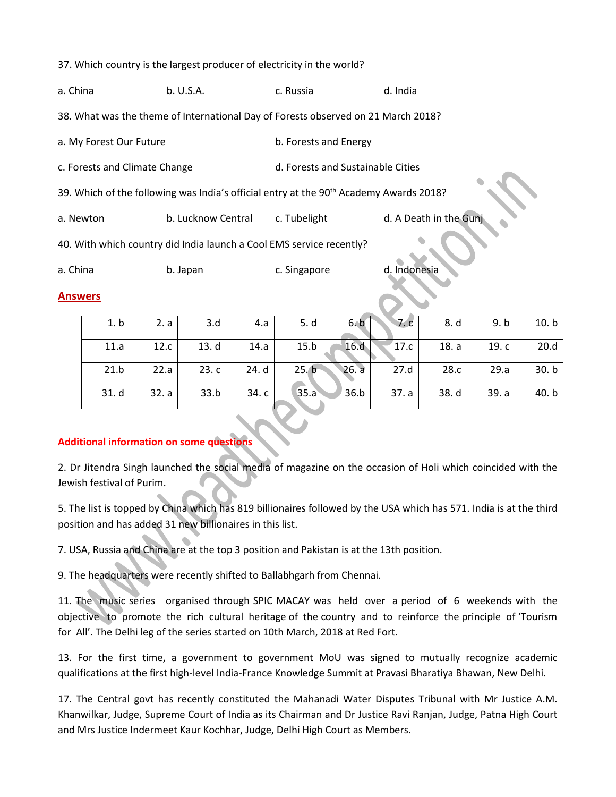37. Which country is the largest producer of electricity in the world?

| a. China                                                                                           | b. U.S.A.          | c. Russia                         | d. India               |  |  |  |  |
|----------------------------------------------------------------------------------------------------|--------------------|-----------------------------------|------------------------|--|--|--|--|
| 38. What was the theme of International Day of Forests observed on 21 March 2018?                  |                    |                                   |                        |  |  |  |  |
| a. My Forest Our Future                                                                            |                    | b. Forests and Energy             |                        |  |  |  |  |
| c. Forests and Climate Change                                                                      |                    | d. Forests and Sustainable Cities |                        |  |  |  |  |
| 39. Which of the following was India's official entry at the 90 <sup>th</sup> Academy Awards 2018? |                    |                                   |                        |  |  |  |  |
| a. Newton                                                                                          | b. Lucknow Central |                                   | d. A Death in the Gunj |  |  |  |  |
| 40. With which country did India launch a Cool EMS service recently?                               |                    |                                   |                        |  |  |  |  |
| a. China                                                                                           | b. Japan           | c. Singapore                      | d. Indonesia           |  |  |  |  |
| <b>Answers</b>                                                                                     |                    |                                   |                        |  |  |  |  |

| 1. b | 2. a  | 3.d   | 4.a   | 5. d  | 6.b       | 7.c   | 8. d  | 9. b  | 10. b |
|------|-------|-------|-------|-------|-----------|-------|-------|-------|-------|
| 11.a | 12.c  | 13. d | 14.a  | 15.b  | 16.d      | 17.c  | 18. a | 19.c  | 20.d  |
| 21.b | 22.a  | 23.c  | 24. d | 25. b | $26. a-1$ | 27.d  | 28.c  | 29.a  | 30. b |
| 31.d | 32. a | 33.b  | 34. c | 35.a  | 36.b      | 37. a | 38. d | 39. a | 40.b  |

## **Additional information on some questions**

2. Dr Jitendra Singh launched the social media of magazine on the occasion of Holi which coincided with the Jewish festival of Purim.

5. The list is topped by China which has 819 billionaires followed by the USA which has 571. India is at the third position and has added 31 new billionaires in this list.

7. USA, Russia and China are at the top 3 position and Pakistan is at the 13th position.

9. The headquarters were recently shifted to Ballabhgarh from Chennai.

11. The music series organised through SPIC MACAY was held over a period of 6 weekends with the objective to promote the rich cultural heritage of the country and to reinforce the principle of 'Tourism for All'. The Delhi leg of the series started on 10th March, 2018 at Red Fort.

13. For the first time, a government to government MoU was signed to mutually recognize academic qualifications at the first high-level India-France Knowledge Summit at Pravasi Bharatiya Bhawan, New Delhi.

17. The Central govt has recently constituted the Mahanadi Water Disputes Tribunal with Mr Justice A.M. Khanwilkar, Judge, Supreme Court of India as its Chairman and Dr Justice Ravi Ranjan, Judge, Patna High Court and Mrs Justice Indermeet Kaur Kochhar, Judge, Delhi High Court as Members.